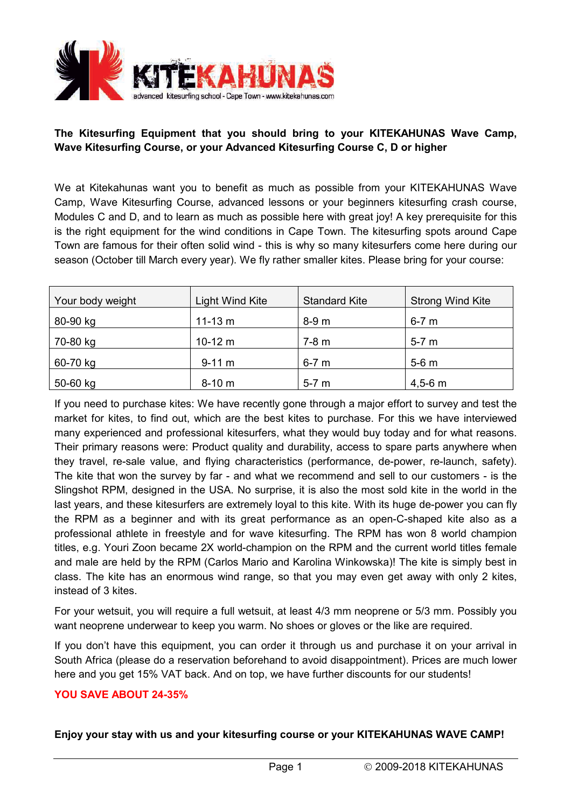

## **The Kitesurfing Equipment that you should bring to your KITEKAHUNAS Wave Camp, Wave Kitesurfing Course, or your Advanced Kitesurfing Course C, D or higher**

We at Kitekahunas want you to benefit as much as possible from your KITEKAHUNAS Wave Camp, Wave Kitesurfing Course, advanced lessons or your beginners kitesurfing crash course, Modules C and D, and to learn as much as possible here with great joy! A key prerequisite for this is the right equipment for the wind conditions in Cape Town. The kitesurfing spots around Cape Town are famous for their often solid wind - this is why so many kitesurfers come here during our season (October till March every year). We fly rather smaller kites. Please bring for your course:

| Your body weight | Light Wind Kite | <b>Standard Kite</b> | <b>Strong Wind Kite</b> |
|------------------|-----------------|----------------------|-------------------------|
| 80-90 kg         | $11 - 13$ m     | 8-9 m                | $6-7$ m                 |
| 70-80 kg         | $10-12 m$       | $7-8$ m              | $5-7$ m                 |
| 60-70 kg         | $9-11 m$        | $6-7$ m              | $5-6$ m                 |
| 50-60 kg         | $8-10 m$        | $5-7$ m              | $4,5-6$ m               |

If you need to purchase kites: We have recently gone through a major effort to survey and test the market for kites, to find out, which are the best kites to purchase. For this we have interviewed many experienced and professional kitesurfers, what they would buy today and for what reasons. Their primary reasons were: Product quality and durability, access to spare parts anywhere when they travel, re-sale value, and flying characteristics (performance, de-power, re-launch, safety). The kite that won the survey by far - and what we recommend and sell to our customers - is the Slingshot RPM, designed in the USA. No surprise, it is also the most sold kite in the world in the last years, and these kitesurfers are extremely loyal to this kite. With its huge de-power you can fly the RPM as a beginner and with its great performance as an open-C-shaped kite also as a professional athlete in freestyle and for wave kitesurfing. The RPM has won 8 world champion titles, e.g. Youri Zoon became 2X world-champion on the RPM and the current world titles female and male are held by the RPM (Carlos Mario and Karolina Winkowska)! The kite is simply best in class. The kite has an enormous wind range, so that you may even get away with only 2 kites, instead of 3 kites.

For your wetsuit, you will require a full wetsuit, at least 4/3 mm neoprene or 5/3 mm. Possibly you want neoprene underwear to keep you warm. No shoes or gloves or the like are required.

If you don't have this equipment, you can order it through us and purchase it on your arrival in South Africa (please do a reservation beforehand to avoid disappointment). Prices are much lower here and you get 15% VAT back. And on top, we have further discounts for our students!

### **YOU SAVE ABOUT 24-35%**

## **Enjoy your stay with us and your kitesurfing course or your KITEKAHUNAS WAVE CAMP!**